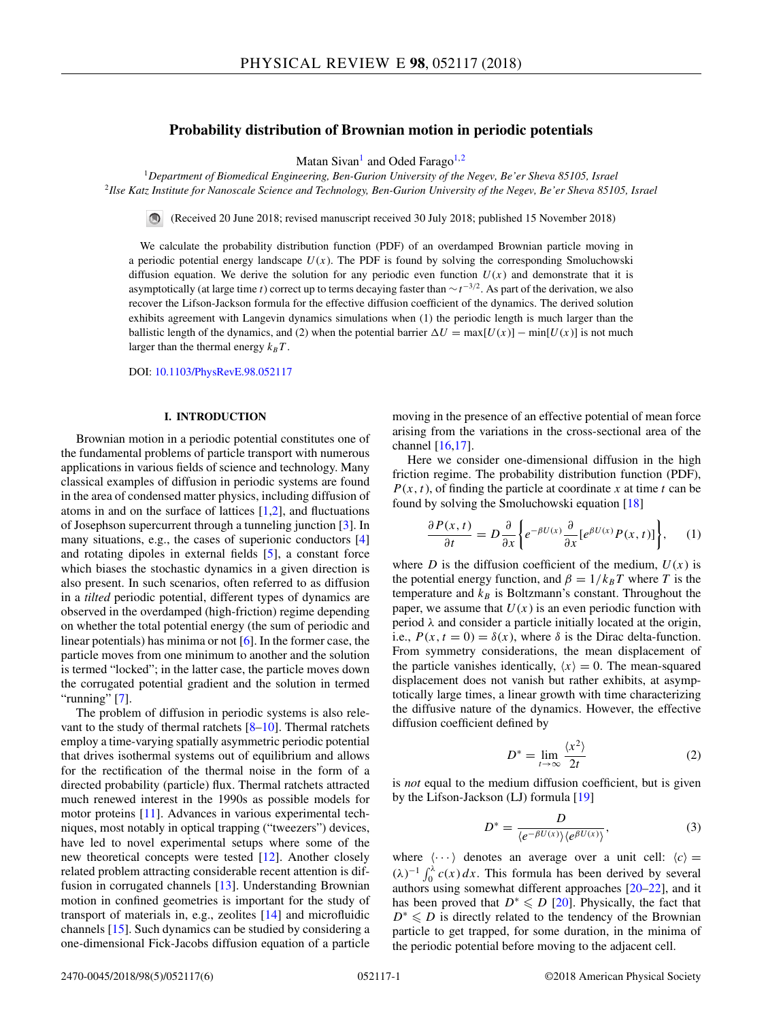# **Probability distribution of Brownian motion in periodic potentials**

Matan Sivan<sup>1</sup> and Oded Farago<sup>1,2</sup>

<span id="page-0-0"></span><sup>1</sup>*Department of Biomedical Engineering, Ben-Gurion University of the Negev, Be'er Sheva 85105, Israel* <sup>2</sup>*Ilse Katz Institute for Nanoscale Science and Technology, Ben-Gurion University of the Negev, Be'er Sheva 85105, Israel*

(Received 20 June 2018; revised manuscript received 30 July 2018; published 15 November 2018)

We calculate the probability distribution function (PDF) of an overdamped Brownian particle moving in a periodic potential energy landscape *U*(*x*). The PDF is found by solving the corresponding Smoluchowski diffusion equation. We derive the solution for any periodic even function  $U(x)$  and demonstrate that it is asymptotically (at large time *t*) correct up to terms decaying faster than ∼*t*<sup>−</sup>3*/*2. As part of the derivation, we also recover the Lifson-Jackson formula for the effective diffusion coefficient of the dynamics. The derived solution exhibits agreement with Langevin dynamics simulations when (1) the periodic length is much larger than the ballistic length of the dynamics, and (2) when the potential barrier  $\Delta U = \max[U(x)] - \min[U(x)]$  is not much larger than the thermal energy  $k_BT$ .

DOI: [10.1103/PhysRevE.98.052117](https://doi.org/10.1103/PhysRevE.98.052117)

# **I. INTRODUCTION**

Brownian motion in a periodic potential constitutes one of the fundamental problems of particle transport with numerous applications in various fields of science and technology. Many classical examples of diffusion in periodic systems are found in the area of condensed matter physics, including diffusion of atoms in and on the surface of lattices  $[1,2]$ , and fluctuations of Josephson supercurrent through a tunneling junction [\[3\]](#page-4-0). In many situations, e.g., the cases of superionic conductors [\[4\]](#page-4-0) and rotating dipoles in external fields [\[5\]](#page-4-0), a constant force which biases the stochastic dynamics in a given direction is also present. In such scenarios, often referred to as diffusion in a *tilted* periodic potential, different types of dynamics are observed in the overdamped (high-friction) regime depending on whether the total potential energy (the sum of periodic and linear potentials) has minima or not  $[6]$ . In the former case, the particle moves from one minimum to another and the solution is termed "locked"; in the latter case, the particle moves down the corrugated potential gradient and the solution in termed "running"  $[7]$ .

The problem of diffusion in periodic systems is also relevant to the study of thermal ratchets [\[8–10\]](#page-4-0). Thermal ratchets employ a time-varying spatially asymmetric periodic potential that drives isothermal systems out of equilibrium and allows for the rectification of the thermal noise in the form of a directed probability (particle) flux. Thermal ratchets attracted much renewed interest in the 1990s as possible models for motor proteins [\[11\]](#page-4-0). Advances in various experimental techniques, most notably in optical trapping ("tweezers") devices, have led to novel experimental setups where some of the new theoretical concepts were tested [\[12\]](#page-4-0). Another closely related problem attracting considerable recent attention is diffusion in corrugated channels [\[13\]](#page-4-0). Understanding Brownian motion in confined geometries is important for the study of transport of materials in, e.g., zeolites [\[14\]](#page-4-0) and microfluidic channels [\[15\]](#page-5-0). Such dynamics can be studied by considering a one-dimensional Fick-Jacobs diffusion equation of a particle

moving in the presence of an effective potential of mean force arising from the variations in the cross-sectional area of the channel [\[16,17\]](#page-5-0).

Here we consider one-dimensional diffusion in the high friction regime. The probability distribution function (PDF),  $P(x, t)$ , of finding the particle at coordinate *x* at time *t* can be found by solving the Smoluchowski equation [\[18\]](#page-5-0)

$$
\frac{\partial P(x,t)}{\partial t} = D \frac{\partial}{\partial x} \bigg\{ e^{-\beta U(x)} \frac{\partial}{\partial x} [e^{\beta U(x)} P(x,t)] \bigg\}, \quad (1)
$$

where *D* is the diffusion coefficient of the medium,  $U(x)$  is the potential energy function, and  $\beta = 1/k_B T$  where *T* is the temperature and  $k_B$  is Boltzmann's constant. Throughout the paper, we assume that  $U(x)$  is an even periodic function with period  $\lambda$  and consider a particle initially located at the origin, i.e.,  $P(x, t = 0) = \delta(x)$ , where  $\delta$  is the Dirac delta-function. From symmetry considerations, the mean displacement of the particle vanishes identically,  $\langle x \rangle = 0$ . The mean-squared displacement does not vanish but rather exhibits, at asymptotically large times, a linear growth with time characterizing the diffusive nature of the dynamics. However, the effective diffusion coefficient defined by

$$
D^* = \lim_{t \to \infty} \frac{\langle x^2 \rangle}{2t}
$$
 (2)

is *not* equal to the medium diffusion coefficient, but is given by the Lifson-Jackson (LJ) formula [\[19\]](#page-5-0)

$$
D^* = \frac{D}{\langle e^{-\beta U(x)} \rangle \langle e^{\beta U(x)} \rangle},\tag{3}
$$

where  $\langle \cdots \rangle$  denotes an average over a unit cell:  $\langle c \rangle$  =  $(\lambda)^{-1} \int_0^{\lambda} c(x) dx$ . This formula has been derived by several authors using somewhat different approaches [\[20–22\]](#page-5-0), and it has been proved that  $D^* \leq D$  [\[20\]](#page-5-0). Physically, the fact that *D*<sup>∗</sup>  $\leq$  *D* is directly related to the tendency of the Brownian particle to get trapped, for some duration, in the minima of the periodic potential before moving to the adjacent cell.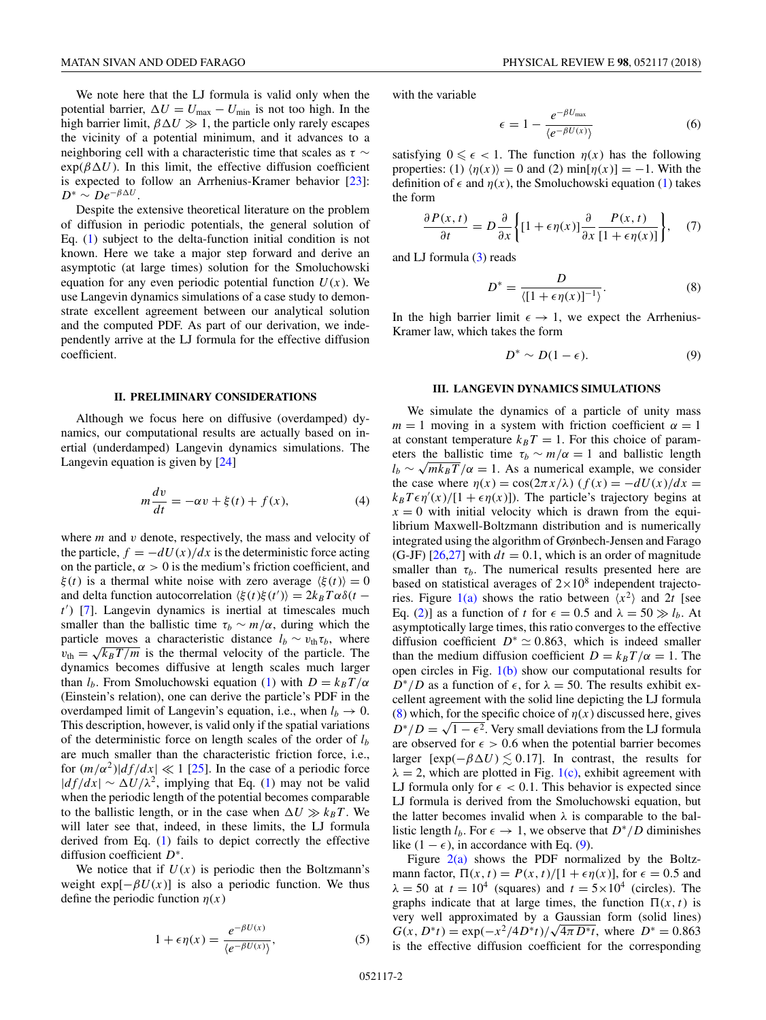<span id="page-1-0"></span>We note here that the LJ formula is valid only when the potential barrier,  $\Delta U = U_{\text{max}} - U_{\text{min}}$  is not too high. In the high barrier limit,  $\beta \Delta U \gg 1$ , the particle only rarely escapes the vicinity of a potential minimum, and it advances to a neighboring cell with a characteristic time that scales as *τ* ∼  $exp(\beta \Delta U)$ . In this limit, the effective diffusion coefficient is expected to follow an Arrhenius-Kramer behavior [\[23\]](#page-5-0):  $D^* \sim De^{-\beta \Delta U}$ .

Despite the extensive theoretical literature on the problem of diffusion in periodic potentials, the general solution of Eq. [\(1\)](#page-0-0) subject to the delta-function initial condition is not known. Here we take a major step forward and derive an asymptotic (at large times) solution for the Smoluchowski equation for any even periodic potential function  $U(x)$ . We use Langevin dynamics simulations of a case study to demonstrate excellent agreement between our analytical solution and the computed PDF. As part of our derivation, we independently arrive at the LJ formula for the effective diffusion coefficient.

#### **II. PRELIMINARY CONSIDERATIONS**

Although we focus here on diffusive (overdamped) dynamics, our computational results are actually based on inertial (underdamped) Langevin dynamics simulations. The Langevin equation is given by [\[24\]](#page-5-0)

$$
m\frac{dv}{dt} = -\alpha v + \xi(t) + f(x),\tag{4}
$$

where *m* and *v* denote, respectively, the mass and velocity of the particle,  $f = -dU(x)/dx$  is the deterministic force acting on the particle,  $\alpha > 0$  is the medium's friction coefficient, and *ξ*(*t*) is a thermal white noise with zero average  $\langle \xi(t) \rangle = 0$ and delta function autocorrelation  $\langle \xi(t) \xi(t') \rangle = 2k_B T \alpha \delta(t$ *t'*) [\[7\]](#page-4-0). Langevin dynamics is inertial at timescales much smaller than the ballistic time  $\tau_b \sim m/\alpha$ , during which the particle moves a characteristic distance  $l_b \sim v_{\text{th}} \tau_b$ , where  $v_{\text{th}} = \sqrt{k_B T/m}$  is the thermal velocity of the particle. The dynamics becomes diffusive at length scales much larger than  $l_b$ . From Smoluchowski equation [\(1\)](#page-0-0) with  $D = k_B T/\alpha$ (Einstein's relation), one can derive the particle's PDF in the overdamped limit of Langevin's equation, i.e., when  $l_b \rightarrow 0$ . This description, however, is valid only if the spatial variations of the deterministic force on length scales of the order of *lb* are much smaller than the characteristic friction force, i.e., for  $(m/\alpha^2)|df/dx| \ll 1$  [\[25\]](#page-5-0). In the case of a periodic force  $|df/dx| \sim \Delta U/\lambda^2$ , implying that Eq. [\(1\)](#page-0-0) may not be valid when the periodic length of the potential becomes comparable to the ballistic length, or in the case when  $\Delta U \gg k_B T$ . We will later see that, indeed, in these limits, the LJ formula derived from Eq. [\(1\)](#page-0-0) fails to depict correctly the effective diffusion coefficient *D*<sup>∗</sup>.

We notice that if  $U(x)$  is periodic then the Boltzmann's weight  $exp[-\beta U(x)]$  is also a periodic function. We thus define the periodic function  $\eta(x)$ 

$$
1 + \epsilon \eta(x) = \frac{e^{-\beta U(x)}}{\langle e^{-\beta U(x)} \rangle},
$$
 (5)

with the variable

$$
\epsilon = 1 - \frac{e^{-\beta U_{\text{max}}}}{\langle e^{-\beta U(x)} \rangle} \tag{6}
$$

satisfying  $0 \le \epsilon < 1$ . The function  $\eta(x)$  has the following properties: (1)  $\langle \eta(x) \rangle = 0$  and (2) min[ $\eta(x)$ ] = -1. With the definition of  $\epsilon$  and  $\eta(x)$ , the Smoluchowski equation [\(1\)](#page-0-0) takes the form

$$
\frac{\partial P(x,t)}{\partial t} = D \frac{\partial}{\partial x} \left\{ [1 + \epsilon \eta(x)] \frac{\partial}{\partial x} \frac{P(x,t)}{[1 + \epsilon \eta(x)]} \right\}, \quad (7)
$$

and LJ formula  $(3)$  reads

$$
D^* = \frac{D}{([1 + \epsilon \eta(x)]^{-1})}.
$$
 (8)

In the high barrier limit  $\epsilon \to 1$ , we expect the Arrhenius-Kramer law, which takes the form

$$
D^* \sim D(1 - \epsilon). \tag{9}
$$

## **III. LANGEVIN DYNAMICS SIMULATIONS**

We simulate the dynamics of a particle of unity mass  $m = 1$  moving in a system with friction coefficient  $\alpha = 1$ at constant temperature  $k_B T = 1$ . For this choice of parameters the ballistic time  $\tau_b \sim m/\alpha = 1$  and ballistic length  $l_b \sim \sqrt{mk_B T}/\alpha = 1$ . As a numerical example, we consider the case where  $\eta(x) = \cos(2\pi x/\lambda)$   $(f(x) = -dU(x)/dx$  $k_B T \epsilon \eta'(x) / [1 + \epsilon \eta(x)]$ ). The particle's trajectory begins at  $x = 0$  with initial velocity which is drawn from the equilibrium Maxwell-Boltzmann distribution and is numerically integrated using the algorithm of Grønbech-Jensen and Farago  $(G-JF)$  [\[26,27\]](#page-5-0) with  $dt = 0.1$ , which is an order of magnitude smaller than  $\tau_b$ . The numerical results presented here are based on statistical averages of  $2 \times 10^8$  independent trajecto-ries. Figure [1\(a\)](#page-2-0) shows the ratio between  $\langle x^2 \rangle$  and 2*t* [see Eq. [\(2\)](#page-0-0)] as a function of *t* for  $\epsilon = 0.5$  and  $\lambda = 50 \gg l_b$ . At asymptotically large times, this ratio converges to the effective diffusion coefficient  $D^* \simeq 0.863$ , which is indeed smaller than the medium diffusion coefficient  $D = k_B T/\alpha = 1$ . The open circles in Fig. [1\(b\)](#page-2-0) show our computational results for  $D^*/D$  as a function of  $\epsilon$ , for  $\lambda = 50$ . The results exhibit excellent agreement with the solid line depicting the LJ formula (8) which, for the specific choice of  $\eta(x)$  discussed here, gives *D*<sup>∗</sup>/*D* =  $\sqrt{1 - \epsilon^2}$ . Very small deviations from the LJ formula are observed for  $\epsilon > 0.6$  when the potential barrier becomes larger  $[\exp(-\beta \Delta U) \lesssim 0.17]$ . In contrast, the results for  $\lambda = 2$ , which are plotted in Fig. [1\(c\),](#page-2-0) exhibit agreement with LJ formula only for  $\epsilon$  < 0.1. This behavior is expected since LJ formula is derived from the Smoluchowski equation, but the latter becomes invalid when  $\lambda$  is comparable to the ballistic length *l<sub>b</sub>*. For  $\epsilon \to 1$ , we observe that  $D^*/D$  diminishes like  $(1 − ε)$ , in accordance with Eq.  $(9)$ .

Figure  $2(a)$  shows the PDF normalized by the Boltzmann factor,  $\Pi(x, t) = P(x, t) / [1 + \epsilon \eta(x)]$ , for  $\epsilon = 0.5$  and  $\lambda = 50$  at  $t = 10^4$  (squares) and  $t = 5 \times 10^4$  (circles). The graphs indicate that at large times, the function  $\Pi(x, t)$  is very well approximated by a Gaussian form (solid lines) *G*(*x*, *D*<sup>∗</sup>*t*) = exp( $-x^2/4D^*t$ )/ $\sqrt{4\pi D^*t}$ , where  $D^* = 0.863$ is the effective diffusion coefficient for the corresponding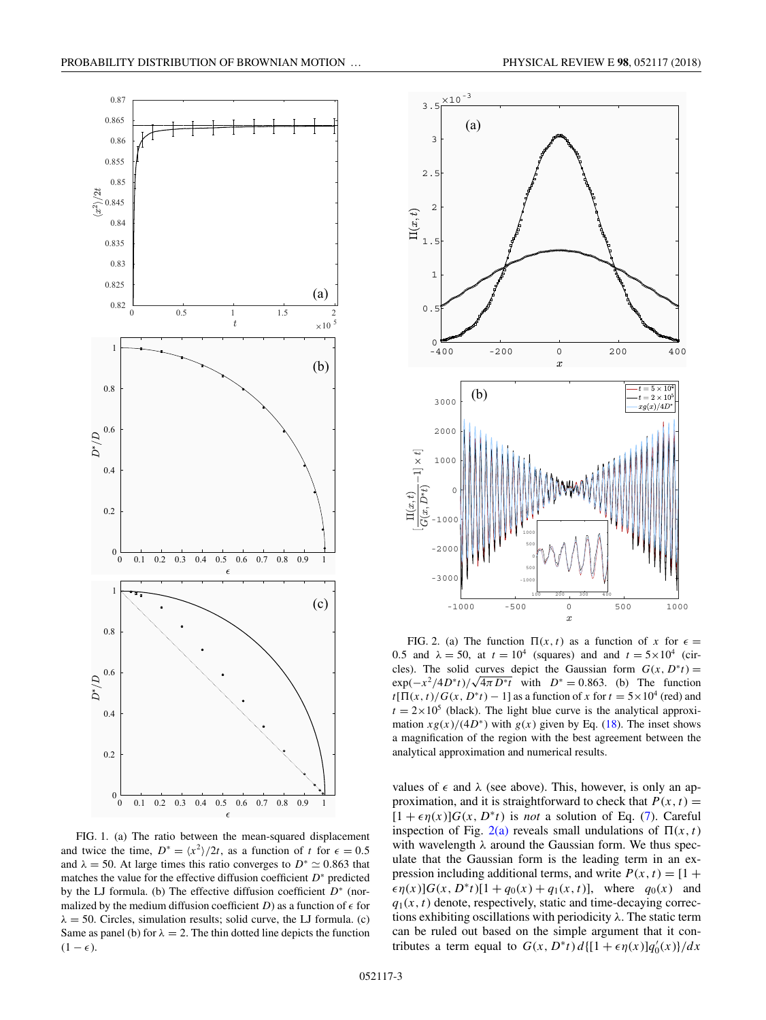

FIG. 1. (a) The ratio between the mean-squared displacement and twice the time,  $D^* = \frac{x^2}{2t}$ , as a function of *t* for  $\epsilon = 0.5$ and  $\lambda = 50$ . At large times this ratio converges to  $D^* \simeq 0.863$  that matches the value for the effective diffusion coefficient *D*<sup>∗</sup> predicted by the LJ formula. (b) The effective diffusion coefficient *D*<sup>∗</sup> (normalized by the medium diffusion coefficient  $D$ ) as a function of  $\epsilon$  for  $\lambda = 50$ . Circles, simulation results; solid curve, the LJ formula. (c) Same as panel (b) for  $\lambda = 2$ . The thin dotted line depicts the function  $(1 - \epsilon)$ .

0 0.1 0.2 0.3 0.4 0.5 0.6 0.7 0.8 0.9 1

 $0\frac{1}{0}$ 

<span id="page-2-0"></span>

FIG. 2. (a) The function  $\Pi(x, t)$  as a function of *x* for  $\epsilon =$ 0.5 and  $\lambda = 50$ , at  $t = 10^4$  (squares) and and  $t = 5 \times 10^4$  (circles). The solid curves depict the Gaussian form  $G(x, D^*t)$  = cies). The solid curves depict the Gaussian form  $G(x, D^T t) = exp(-x^2/4D^* t)/\sqrt{4\pi D^* t}$  with  $D^* = 0.863$ . (b) The function  $t[\Pi(x, t)/G(x, D^*t) - 1]$  as a function of *x* for  $t = 5 \times 10^4$  (red) and  $t = 2 \times 10^5$  (black). The light blue curve is the analytical approximation  $xg(x)/(4D^*)$  with  $g(x)$  given by Eq. [\(18\)](#page-3-0). The inset shows a magnification of the region with the best agreement between the analytical approximation and numerical results.

 $-300$ 

 $-2000$ 

 $100$ 

 $\Pi(x,t)$  $G(x,$ 

-1000 -500 0 500 1000

 $\overline{x}$ 

100 200 300 400

values of  $\epsilon$  and  $\lambda$  (see above). This, however, is only an approximation, and it is straightforward to check that  $P(x, t) =$  $[1 + \epsilon \eta(x)]G(x, D^*t)$  is *not* a solution of Eq. [\(7\)](#page-1-0). Careful inspection of Fig. 2(a) reveals small undulations of  $\Pi(x, t)$ with wavelength *λ* around the Gaussian form. We thus speculate that the Gaussian form is the leading term in an expression including additional terms, and write  $P(x, t) = [1 +$  $\epsilon \eta(x)$ ] $G(x, D^*t)$ [1 + *q*<sub>0</sub>(*x*) + *q*<sub>1</sub>(*x,t*)], where *q*<sub>0</sub>(*x*) and  $q_1(x, t)$  denote, respectively, static and time-decaying corrections exhibiting oscillations with periodicity *λ*. The static term can be ruled out based on the simple argument that it contributes a term equal to  $G(x, D^*t) d{[1 + \epsilon \eta(x)]} q'_0(x)}/dx$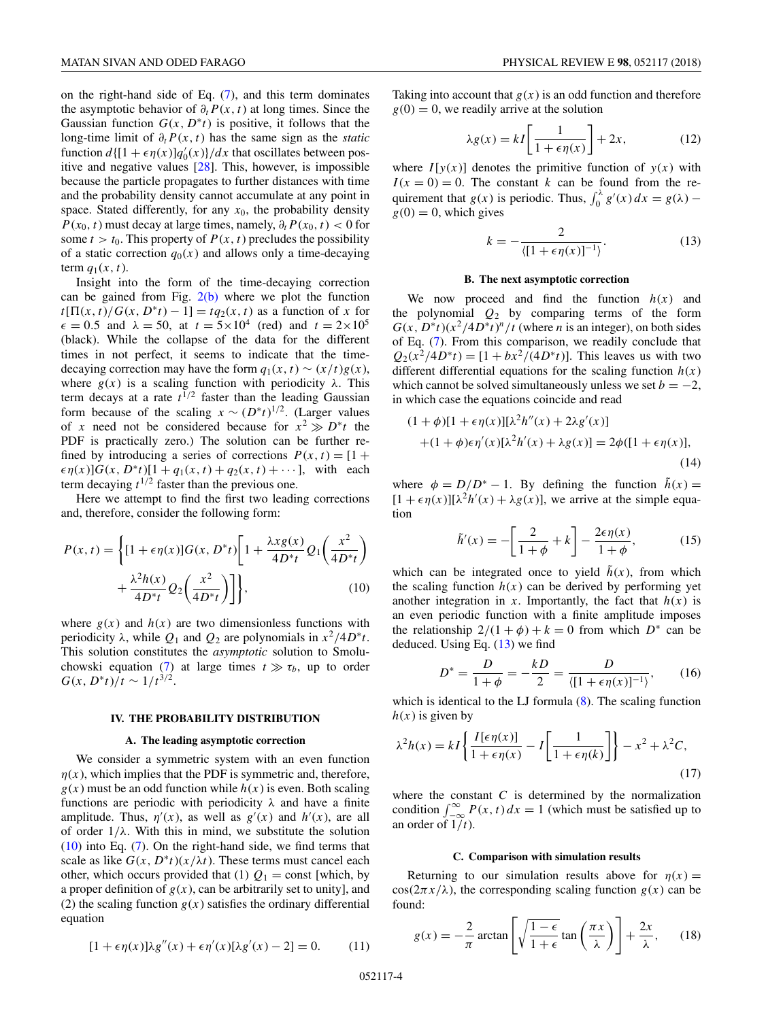<span id="page-3-0"></span>on the right-hand side of Eq. [\(7\)](#page-1-0), and this term dominates the asymptotic behavior of  $\partial_t P(x, t)$  at long times. Since the Gaussian function  $G(x, D^*t)$  is positive, it follows that the long-time limit of *∂tP* (*x,t*) has the same sign as the *static* function  $d\left\{[1 + \epsilon \eta(x)]q_0'(x)\right\}/dx$  that oscillates between positive and negative values [\[28\]](#page-5-0). This, however, is impossible because the particle propagates to further distances with time and the probability density cannot accumulate at any point in space. Stated differently, for any  $x<sub>0</sub>$ , the probability density *P*( $x_0$ , *t*) must decay at large times, namely,  $\partial_t P(x_0, t) < 0$  for some  $t > t_0$ . This property of  $P(x, t)$  precludes the possibility of a static correction  $q_0(x)$  and allows only a time-decaying term  $q_1(x, t)$ .

Insight into the form of the time-decaying correction can be gained from Fig.  $2(b)$  where we plot the function  $t[\Pi(x, t)/G(x, D^*t) - 1] = tq_2(x, t)$  as a function of *x* for  $\epsilon = 0.5$  and  $\lambda = 50$ , at  $t = 5 \times 10^4$  (red) and  $t = 2 \times 10^5$ (black). While the collapse of the data for the different times in not perfect, it seems to indicate that the timedecaying correction may have the form  $q_1(x, t) \sim (x/t)g(x)$ , where  $g(x)$  is a scaling function with periodicity  $\lambda$ . This term decays at a rate  $t^{1/2}$  faster than the leading Gaussian form because of the scaling  $x \sim (D^*t)^{1/2}$ . (Larger values of *x* need not be considered because for  $x^2 \gg D^*t$  the PDF is practically zero.) The solution can be further refined by introducing a series of corrections  $P(x, t) = [1 +$  $\epsilon \eta(x)$ ] $G(x, D^*t)$ [1 +  $q_1(x, t) + q_2(x, t) + \cdots$ ], with each term decaying  $t^{1/2}$  faster than the previous one.

Here we attempt to find the first two leading corrections and, therefore, consider the following form:

$$
P(x,t) = \left\{ [1 + \epsilon \eta(x)] G(x, D^*t) \left[ 1 + \frac{\lambda x g(x)}{4D^*t} Q_1 \left( \frac{x^2}{4D^*t} \right) + \frac{\lambda^2 h(x)}{4D^*t} Q_2 \left( \frac{x^2}{4D^*t} \right) \right] \right\},
$$
\n(10)

where  $g(x)$  and  $h(x)$  are two dimensionless functions with periodicity  $\lambda$ , while  $Q_1$  and  $Q_2$  are polynomials in  $x^2/4D^*t$ . This solution constitutes the *asymptotic* solution to Smolu-chowski equation [\(7\)](#page-1-0) at large times  $t \gg \tau_b$ , up to order *G*(*x*, *D*<sup>∗</sup>*t*)/*t* ∼ 1/*t*<sup>3/2</sup>.

#### **IV. THE PROBABILITY DISTRIBUTION**

### **A. The leading asymptotic correction**

We consider a symmetric system with an even function  $\eta(x)$ , which implies that the PDF is symmetric and, therefore,  $g(x)$  must be an odd function while  $h(x)$  is even. Both scaling functions are periodic with periodicity *λ* and have a finite amplitude. Thus,  $\eta'(x)$ , as well as  $g'(x)$  and  $h'(x)$ , are all of order  $1/\lambda$ . With this in mind, we substitute the solution (10) into Eq. [\(7\)](#page-1-0). On the right-hand side, we find terms that scale as like  $G(x, D^*t)(x/\lambda t)$ . These terms must cancel each other, which occurs provided that (1)  $Q_1 = \text{const}$  [which, by a proper definition of  $g(x)$ , can be arbitrarily set to unity], and (2) the scaling function  $g(x)$  satisfies the ordinary differential equation

$$
[1 + \epsilon \eta(x)]\lambda g''(x) + \epsilon \eta'(x)[\lambda g'(x) - 2] = 0.
$$
 (11)

Taking into account that  $g(x)$  is an odd function and therefore  $g(0) = 0$ , we readily arrive at the solution

$$
\lambda g(x) = kI \left[ \frac{1}{1 + \epsilon \eta(x)} \right] + 2x, \tag{12}
$$

where  $I[y(x)]$  denotes the primitive function of  $y(x)$  with  $I(x = 0) = 0$ . The constant *k* can be found from the requirement that  $g(x)$  is periodic. Thus,  $\int_0^{\lambda} g'(x) dx = g(\lambda)$  $g(0) = 0$ , which gives

$$
k = -\frac{2}{\langle [1 + \epsilon \eta(x)]^{-1} \rangle}.
$$
 (13)

#### **B. The next asymptotic correction**

We now proceed and find the function  $h(x)$  and the polynomial  $Q_2$  by comparing terms of the form  $G(x, D^*t)(x^2/4D^*t)^n/t$  (where *n* is an integer), on both sides of Eq. [\(7\)](#page-1-0). From this comparison, we readily conclude that  $Q_2(x^2/4D^*t) = [1 + bx^2/(4D^*t)].$  This leaves us with two different differential equations for the scaling function  $h(x)$ which cannot be solved simultaneously unless we set  $b = -2$ , in which case the equations coincide and read

$$
(1+\phi)[1+\epsilon\eta(x)][\lambda^2h''(x)+2\lambda g'(x)]
$$
  
+(1+\phi)\epsilon\eta'(x)[\lambda^2h'(x)+\lambda g(x)]=2\phi([1+\epsilon\eta(x)],  
(14)

where  $\phi = D/D^* - 1$ . By defining the function  $\tilde{h}(x) =$  $[1 + \epsilon \eta(x)][\lambda^2 h'(x) + \lambda g(x)]$ , we arrive at the simple equation

$$
\tilde{h}'(x) = -\left[\frac{2}{1+\phi} + k\right] - \frac{2\epsilon\eta(x)}{1+\phi},\tag{15}
$$

which can be integrated once to yield  $\tilde{h}(x)$ , from which the scaling function  $h(x)$  can be derived by performing yet another integration in *x*. Importantly, the fact that  $h(x)$  is an even periodic function with a finite amplitude imposes the relationship  $2/(1 + \phi) + k = 0$  from which  $D^*$  can be deduced. Using Eq. (13) we find

$$
D^* = \frac{D}{1+\phi} = -\frac{kD}{2} = \frac{D}{\langle [1+\epsilon \eta(x)]^{-1} \rangle},\qquad(16)
$$

which is identical to the LJ formula  $(8)$ . The scaling function  $h(x)$  is given by

$$
\lambda^2 h(x) = kI \left\{ \frac{I[\epsilon \eta(x)]}{1 + \epsilon \eta(x)} - I \left[ \frac{1}{1 + \epsilon \eta(k)} \right] \right\} - x^2 + \lambda^2 C,
$$
\n(17)

where the constant *C* is determined by the normalization condition  $\int_{-\infty}^{\infty} P(x, t) dx = 1$  (which must be satisfied up to an order of  $1/t$ ).

### **C. Comparison with simulation results**

Returning to our simulation results above for  $\eta(x) =$  $\cos(2\pi x/\lambda)$ , the corresponding scaling function  $g(x)$  can be found:

$$
g(x) = -\frac{2}{\pi} \arctan\left[\sqrt{\frac{1-\epsilon}{1+\epsilon}} \tan\left(\frac{\pi x}{\lambda}\right)\right] + \frac{2x}{\lambda},\qquad(18)
$$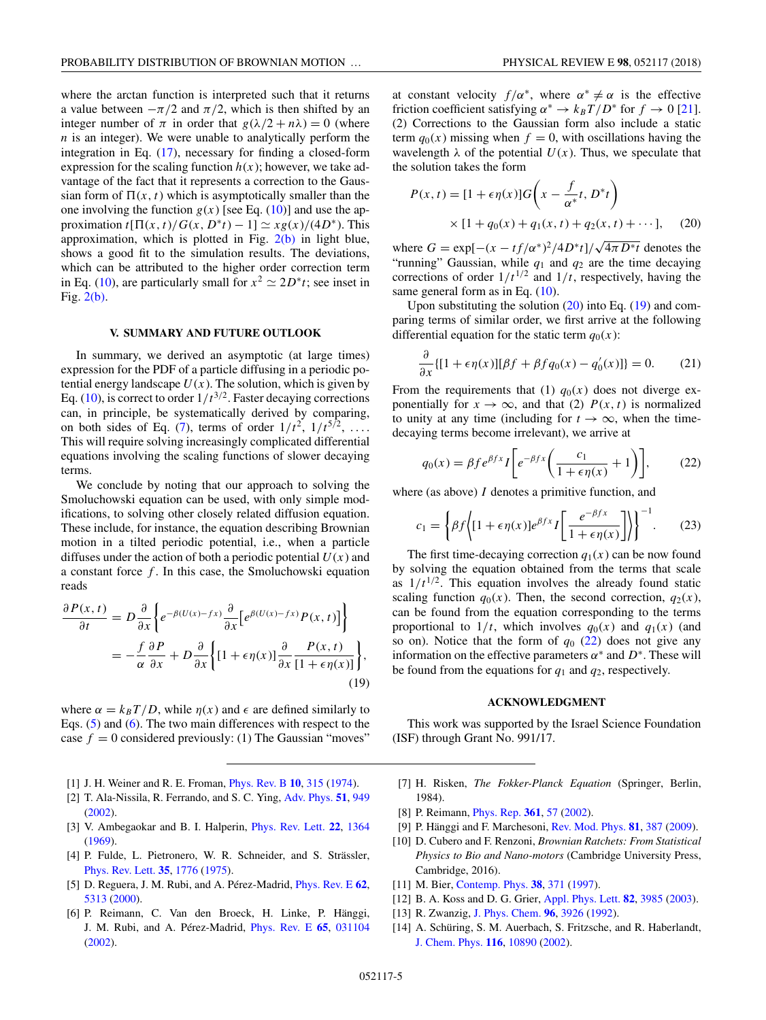<span id="page-4-0"></span>where the arctan function is interpreted such that it returns a value between  $-\pi/2$  and  $\pi/2$ , which is then shifted by an integer number of  $\pi$  in order that  $g(\lambda/2 + n\lambda) = 0$  (where *n* is an integer). We were unable to analytically perform the integration in Eq. [\(17\)](#page-3-0), necessary for finding a closed-form expression for the scaling function  $h(x)$ ; however, we take advantage of the fact that it represents a correction to the Gaussian form of  $\Pi(x, t)$  which is asymptotically smaller than the one involving the function  $g(x)$  [see Eq. [\(10\)](#page-3-0)] and use the approximation  $t[\Pi(x, t)/G(x, D^*t) - 1] \simeq xg(x)/(4D^*)$ . This approximation, which is plotted in Fig. [2\(b\)](#page-2-0) in light blue, shows a good fit to the simulation results. The deviations, which can be attributed to the higher order correction term in Eq. [\(10\)](#page-3-0), are particularly small for  $x^2 \approx 2D^*t$ ; see inset in Fig. [2\(b\).](#page-2-0)

### **V. SUMMARY AND FUTURE OUTLOOK**

In summary, we derived an asymptotic (at large times) expression for the PDF of a particle diffusing in a periodic potential energy landscape  $U(x)$ . The solution, which is given by Eq. [\(10\)](#page-3-0), is correct to order  $1/t^{3/2}$ . Faster decaying corrections can, in principle, be systematically derived by comparing, on both sides of Eq. [\(7\)](#page-1-0), terms of order  $1/t^2$ ,  $1/t^{5/2}$ , ... This will require solving increasingly complicated differential equations involving the scaling functions of slower decaying terms.

We conclude by noting that our approach to solving the Smoluchowski equation can be used, with only simple modifications, to solving other closely related diffusion equation. These include, for instance, the equation describing Brownian motion in a tilted periodic potential, i.e., when a particle diffuses under the action of both a periodic potential  $U(x)$  and a constant force *f* . In this case, the Smoluchowski equation reads

$$
\frac{\partial P(x,t)}{\partial t} = D \frac{\partial}{\partial x} \bigg\{ e^{-\beta (U(x)-fx)} \frac{\partial}{\partial x} \big[ e^{\beta (U(x)-fx)} P(x,t) \big] \bigg\}
$$

$$
= -\frac{f}{\alpha} \frac{\partial P}{\partial x} + D \frac{\partial}{\partial x} \bigg\{ [1 + \epsilon \eta(x)] \frac{\partial}{\partial x} \frac{P(x,t)}{[1 + \epsilon \eta(x)]} \bigg\},
$$
(19)

where  $\alpha = k_B T/D$ , while  $\eta(x)$  and  $\epsilon$  are defined similarly to Eqs. [\(5\)](#page-1-0) and [\(6\)](#page-1-0). The two main differences with respect to the case  $f = 0$  considered previously: (1) The Gaussian "moves"

- [1] J. H. Weiner and R. E. Froman, [Phys. Rev. B](https://doi.org/10.1103/PhysRevB.10.315) **[10](https://doi.org/10.1103/PhysRevB.10.315)**, [315](https://doi.org/10.1103/PhysRevB.10.315) [\(1974\)](https://doi.org/10.1103/PhysRevB.10.315).
- [2] T. Ala-Nissila, R. Ferrando, and S. C. Ying, [Adv. Phys.](https://doi.org/10.1080/00018730110107902) **[51](https://doi.org/10.1080/00018730110107902)**, [949](https://doi.org/10.1080/00018730110107902) [\(2002\)](https://doi.org/10.1080/00018730110107902).
- [3] V. Ambegaokar and B. I. Halperin, [Phys. Rev. Lett.](https://doi.org/10.1103/PhysRevLett.22.1364) **[22](https://doi.org/10.1103/PhysRevLett.22.1364)**, [1364](https://doi.org/10.1103/PhysRevLett.22.1364) [\(1969\)](https://doi.org/10.1103/PhysRevLett.22.1364).
- [4] P. Fulde, L. Pietronero, W. R. Schneider, and S. Strässler, [Phys. Rev. Lett.](https://doi.org/10.1103/PhysRevLett.35.1776) **[35](https://doi.org/10.1103/PhysRevLett.35.1776)**, [1776](https://doi.org/10.1103/PhysRevLett.35.1776) [\(1975\)](https://doi.org/10.1103/PhysRevLett.35.1776).
- [5] D. Reguera, J. M. Rubi, and A. Pérez-Madrid, [Phys. Rev. E](https://doi.org/10.1103/PhysRevE.62.5313) **[62](https://doi.org/10.1103/PhysRevE.62.5313)**, [5313](https://doi.org/10.1103/PhysRevE.62.5313) [\(2000\)](https://doi.org/10.1103/PhysRevE.62.5313).
- [6] P. Reimann, C. Van den Broeck, H. Linke, P. Hänggi, J. M. Rubi, and A. Pérez-Madrid, [Phys. Rev. E](https://doi.org/10.1103/PhysRevE.65.031104) **[65](https://doi.org/10.1103/PhysRevE.65.031104)**, [031104](https://doi.org/10.1103/PhysRevE.65.031104) [\(2002\)](https://doi.org/10.1103/PhysRevE.65.031104).

at constant velocity  $f/\alpha^*$ , where  $\alpha^* \neq \alpha$  is the effective

friction coefficient satisfying  $\alpha^* \to k_B T/D^*$  for  $f \to 0$  [\[21\]](#page-5-0). (2) Corrections to the Gaussian form also include a static term  $q_0(x)$  missing when  $f = 0$ , with oscillations having the wavelength  $\lambda$  of the potential  $U(x)$ . Thus, we speculate that the solution takes the form

$$
P(x, t) = [1 + \epsilon \eta(x)]G\left(x - \frac{f}{\alpha^*}t, D^*t\right) \times [1 + q_0(x) + q_1(x, t) + q_2(x, t) + \cdots], \quad (20)
$$

where  $G = \exp[-(x - tf/\alpha^*)^2/4D^*t]/\sqrt{4\pi D^*t}$  denotes the "running" Gaussian, while  $q_1$  and  $q_2$  are the time decaying corrections of order  $1/t^{1/2}$  and  $1/t$ , respectively, having the same general form as in Eq.  $(10)$ .

Upon substituting the solution  $(20)$  into Eq.  $(19)$  and comparing terms of similar order, we first arrive at the following differential equation for the static term  $q_0(x)$ :

$$
\frac{\partial}{\partial x}\{[1+\epsilon\eta(x)][\beta f + \beta f q_0(x) - q_0'(x)]\} = 0.
$$
 (21)

From the requirements that (1)  $q_0(x)$  does not diverge exponentially for  $x \to \infty$ , and that (2)  $P(x, t)$  is normalized to unity at any time (including for  $t \to \infty$ , when the timedecaying terms become irrelevant), we arrive at

$$
q_0(x) = \beta f e^{\beta fx} I \bigg[ e^{-\beta fx} \bigg( \frac{c_1}{1 + \epsilon \eta(x)} + 1 \bigg) \bigg],\tag{22}
$$

where (as above) *I* denotes a primitive function, and

$$
c_1 = \left\{ \beta f \left\{ [1 + \epsilon \eta(x)] e^{\beta fx} I \left[ \frac{e^{-\beta fx}}{1 + \epsilon \eta(x)} \right] \right\} \right\}^{-1}.
$$
 (23)

The first time-decaying correction  $q_1(x)$  can be now found by solving the equation obtained from the terms that scale as  $1/t^{1/2}$ . This equation involves the already found static scaling function  $q_0(x)$ . Then, the second correction,  $q_2(x)$ , can be found from the equation corresponding to the terms proportional to  $1/t$ , which involves  $q_0(x)$  and  $q_1(x)$  (and so on). Notice that the form of  $q_0$  (22) does not give any information on the effective parameters  $\alpha^*$  and  $D^*$ . These will be found from the equations for *q*<sup>1</sup> and *q*2, respectively.

# **ACKNOWLEDGMENT**

This work was supported by the Israel Science Foundation (ISF) through Grant No. 991/17.

- [7] H. Risken, *The Fokker-Planck Equation* (Springer, Berlin, 1984).
- [8] P. Reimann, [Phys. Rep.](https://doi.org/10.1016/S0370-1573(01)00081-3) **[361](https://doi.org/10.1016/S0370-1573(01)00081-3)**, [57](https://doi.org/10.1016/S0370-1573(01)00081-3) [\(2002\)](https://doi.org/10.1016/S0370-1573(01)00081-3).
- [9] P. Hänggi and F. Marchesoni, [Rev. Mod. Phys.](https://doi.org/10.1103/RevModPhys.81.387) **[81](https://doi.org/10.1103/RevModPhys.81.387)**, [387](https://doi.org/10.1103/RevModPhys.81.387) [\(2009\)](https://doi.org/10.1103/RevModPhys.81.387).
- [10] D. Cubero and F. Renzoni, *Brownian Ratchets: From Statistical Physics to Bio and Nano-motors* (Cambridge University Press, Cambridge, 2016).
- [11] M. Bier, [Contemp. Phys.](https://doi.org/10.1080/001075197182180) **[38](https://doi.org/10.1080/001075197182180)**, [371](https://doi.org/10.1080/001075197182180) [\(1997\)](https://doi.org/10.1080/001075197182180).
- [12] B. A. Koss and D. G. Grier, [Appl. Phys. Lett.](https://doi.org/10.1063/1.1579859) **[82](https://doi.org/10.1063/1.1579859)**, [3985](https://doi.org/10.1063/1.1579859) [\(2003\)](https://doi.org/10.1063/1.1579859).
- [13] R. Zwanzig, [J. Phys. Chem.](https://doi.org/10.1021/j100189a004) **[96](https://doi.org/10.1021/j100189a004)**, [3926](https://doi.org/10.1021/j100189a004) [\(1992\)](https://doi.org/10.1021/j100189a004).
- [14] A. Schüring, S. M. Auerbach, S. Fritzsche, and R. Haberlandt, [J. Chem. Phys.](https://doi.org/10.1063/1.1480011) **[116](https://doi.org/10.1063/1.1480011)**, [10890](https://doi.org/10.1063/1.1480011) [\(2002\)](https://doi.org/10.1063/1.1480011).